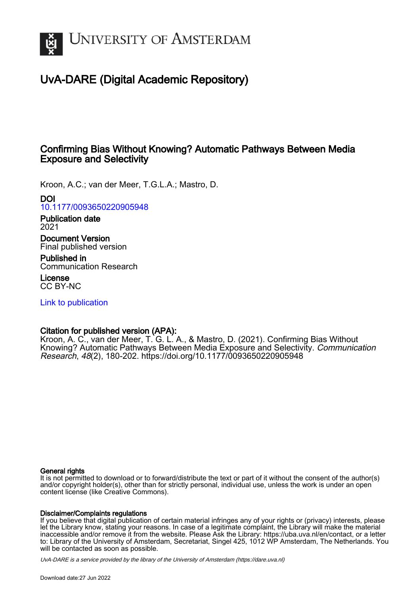

# UvA-DARE (Digital Academic Repository)

## Confirming Bias Without Knowing? Automatic Pathways Between Media Exposure and Selectivity

Kroon, A.C.; van der Meer, T.G.L.A.; Mastro, D.

DOI

[10.1177/0093650220905948](https://doi.org/10.1177/0093650220905948)

Publication date 2021

Document Version Final published version

Published in Communication Research

License CC BY-NC

[Link to publication](https://dare.uva.nl/personal/pure/en/publications/confirming-bias-without-knowing-automatic-pathways-between-media-exposure-and-selectivity(511a536b-7440-41b5-90fb-c3c038391ac3).html)

## Citation for published version (APA):

Kroon, A. C., van der Meer, T. G. L. A., & Mastro, D. (2021). Confirming Bias Without Knowing? Automatic Pathways Between Media Exposure and Selectivity. Communication Research, 48(2), 180-202.<https://doi.org/10.1177/0093650220905948>

#### General rights

It is not permitted to download or to forward/distribute the text or part of it without the consent of the author(s) and/or copyright holder(s), other than for strictly personal, individual use, unless the work is under an open content license (like Creative Commons).

#### Disclaimer/Complaints regulations

If you believe that digital publication of certain material infringes any of your rights or (privacy) interests, please let the Library know, stating your reasons. In case of a legitimate complaint, the Library will make the material inaccessible and/or remove it from the website. Please Ask the Library: https://uba.uva.nl/en/contact, or a letter to: Library of the University of Amsterdam, Secretariat, Singel 425, 1012 WP Amsterdam, The Netherlands. You will be contacted as soon as possible.

UvA-DARE is a service provided by the library of the University of Amsterdam (http*s*://dare.uva.nl)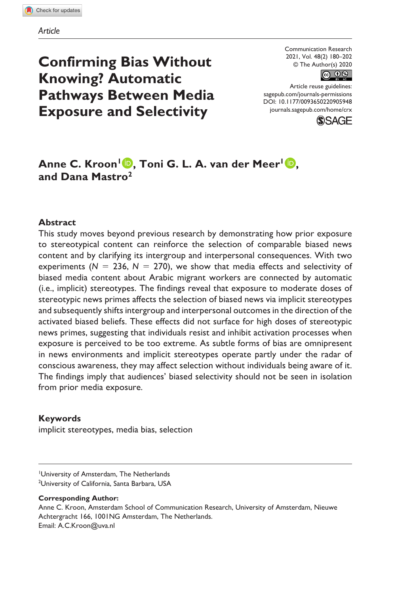**Confirming Bias Without Knowing? Automatic Pathways Between Media Exposure and Selectivity**

Communication Research 2021, Vol. 48(2) 180–202 © The Author(s) 2020



DOI: 10.1177/0093650220905948 Article reuse guidelines: [sagepub.com/journals-permissions](https://us.sagepub.com/en-us/journals-permissions) [journals.sagepub.com/home/crx](https://journals.sagepub.com/home/crx)



## Anne C. Kroon<sup>1</sup> **D**, Toni G. L. A. van der Meer<sup>1</sup> **D**, **and Dana Mastro2**

#### **Abstract**

This study moves beyond previous research by demonstrating how prior exposure to stereotypical content can reinforce the selection of comparable biased news content and by clarifying its intergroup and interpersonal consequences. With two experiments ( $N = 236$ ,  $N = 270$ ), we show that media effects and selectivity of biased media content about Arabic migrant workers are connected by automatic (i.e., implicit) stereotypes. The findings reveal that exposure to moderate doses of stereotypic news primes affects the selection of biased news via implicit stereotypes and subsequently shifts intergroup and interpersonal outcomes in the direction of the activated biased beliefs. These effects did not surface for high doses of stereotypic news primes, suggesting that individuals resist and inhibit activation processes when exposure is perceived to be too extreme. As subtle forms of bias are omnipresent in news environments and implicit stereotypes operate partly under the radar of conscious awareness, they may affect selection without individuals being aware of it. The findings imply that audiences' biased selectivity should not be seen in isolation from prior media exposure.

#### **Keywords**

implicit stereotypes, media bias, selection

University of Amsterdam, The Netherlands 2 University of California, Santa Barbara, USA

#### **Corresponding Author:**

Anne C. Kroon, Amsterdam School of Communication Research, University of Amsterdam, Nieuwe Achtergracht 166, 1001NG Amsterdam, The Netherlands. Email: [A.C.Kroon@uva.nl](mailto:A.C.Kroon@uva.nl)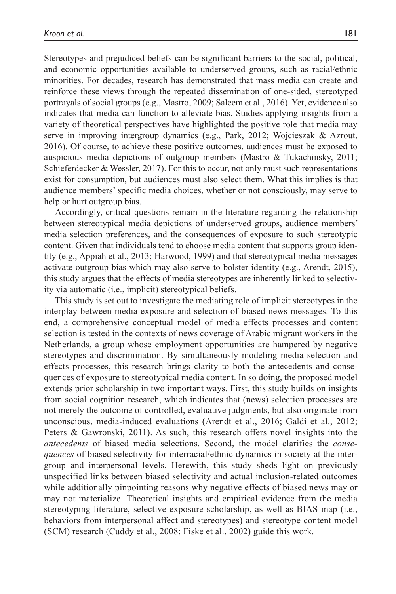Stereotypes and prejudiced beliefs can be significant barriers to the social, political, and economic opportunities available to underserved groups, such as racial/ethnic minorities. For decades, research has demonstrated that mass media can create and reinforce these views through the repeated dissemination of one-sided, stereotyped portrayals of social groups (e.g., Mastro, 2009; Saleem et al., 2016). Yet, evidence also indicates that media can function to alleviate bias. Studies applying insights from a variety of theoretical perspectives have highlighted the positive role that media may serve in improving intergroup dynamics (e.g., Park, 2012; Wojcieszak & Azrout, 2016). Of course, to achieve these positive outcomes, audiences must be exposed to auspicious media depictions of outgroup members (Mastro & Tukachinsky, 2011; Schieferdecker & Wessler, 2017). For this to occur, not only must such representations exist for consumption, but audiences must also select them. What this implies is that audience members' specific media choices, whether or not consciously, may serve to help or hurt outgroup bias.

Accordingly, critical questions remain in the literature regarding the relationship between stereotypical media depictions of underserved groups, audience members' media selection preferences, and the consequences of exposure to such stereotypic content. Given that individuals tend to choose media content that supports group identity (e.g., Appiah et al., 2013; Harwood, 1999) and that stereotypical media messages activate outgroup bias which may also serve to bolster identity (e.g., Arendt, 2015), this study argues that the effects of media stereotypes are inherently linked to selectivity via automatic (i.e., implicit) stereotypical beliefs.

This study is set out to investigate the mediating role of implicit stereotypes in the interplay between media exposure and selection of biased news messages. To this end, a comprehensive conceptual model of media effects processes and content selection is tested in the contexts of news coverage of Arabic migrant workers in the Netherlands, a group whose employment opportunities are hampered by negative stereotypes and discrimination. By simultaneously modeling media selection and effects processes, this research brings clarity to both the antecedents and consequences of exposure to stereotypical media content. In so doing, the proposed model extends prior scholarship in two important ways. First, this study builds on insights from social cognition research, which indicates that (news) selection processes are not merely the outcome of controlled, evaluative judgments, but also originate from unconscious, media-induced evaluations (Arendt et al., 2016; Galdi et al., 2012; Peters & Gawronski, 2011). As such, this research offers novel insights into the *antecedents* of biased media selections. Second, the model clarifies the *consequences* of biased selectivity for interracial/ethnic dynamics in society at the intergroup and interpersonal levels. Herewith, this study sheds light on previously unspecified links between biased selectivity and actual inclusion-related outcomes while additionally pinpointing reasons why negative effects of biased news may or may not materialize. Theoretical insights and empirical evidence from the media stereotyping literature, selective exposure scholarship, as well as BIAS map (i.e., behaviors from interpersonal affect and stereotypes) and stereotype content model (SCM) research (Cuddy et al., 2008; Fiske et al., 2002) guide this work.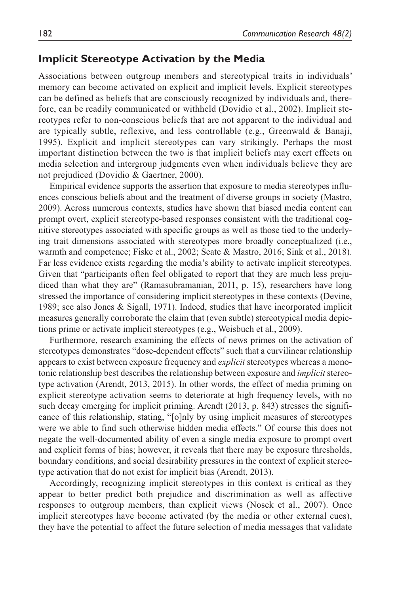## **Implicit Stereotype Activation by the Media**

Associations between outgroup members and stereotypical traits in individuals' memory can become activated on explicit and implicit levels. Explicit stereotypes can be defined as beliefs that are consciously recognized by individuals and, therefore, can be readily communicated or withheld (Dovidio et al., 2002). Implicit stereotypes refer to non-conscious beliefs that are not apparent to the individual and are typically subtle, reflexive, and less controllable (e.g., Greenwald & Banaji, 1995). Explicit and implicit stereotypes can vary strikingly. Perhaps the most important distinction between the two is that implicit beliefs may exert effects on media selection and intergroup judgments even when individuals believe they are not prejudiced (Dovidio & Gaertner, 2000).

Empirical evidence supports the assertion that exposure to media stereotypes influences conscious beliefs about and the treatment of diverse groups in society (Mastro, 2009). Across numerous contexts, studies have shown that biased media content can prompt overt, explicit stereotype-based responses consistent with the traditional cognitive stereotypes associated with specific groups as well as those tied to the underlying trait dimensions associated with stereotypes more broadly conceptualized (i.e., warmth and competence; Fiske et al., 2002; Seate & Mastro, 2016; Sink et al., 2018). Far less evidence exists regarding the media's ability to activate implicit stereotypes. Given that "participants often feel obligated to report that they are much less prejudiced than what they are" (Ramasubramanian, 2011, p. 15), researchers have long stressed the importance of considering implicit stereotypes in these contexts (Devine, 1989; see also Jones & Sigall, 1971). Indeed, studies that have incorporated implicit measures generally corroborate the claim that (even subtle) stereotypical media depictions prime or activate implicit stereotypes (e.g., Weisbuch et al., 2009).

Furthermore, research examining the effects of news primes on the activation of stereotypes demonstrates "dose-dependent effects" such that a curvilinear relationship appears to exist between exposure frequency and *explicit* stereotypes whereas a monotonic relationship best describes the relationship between exposure and *implicit* stereotype activation (Arendt, 2013, 2015). In other words, the effect of media priming on explicit stereotype activation seems to deteriorate at high frequency levels, with no such decay emerging for implicit priming. Arendt (2013, p. 843) stresses the significance of this relationship, stating, "[o]nly by using implicit measures of stereotypes were we able to find such otherwise hidden media effects." Of course this does not negate the well-documented ability of even a single media exposure to prompt overt and explicit forms of bias; however, it reveals that there may be exposure thresholds, boundary conditions, and social desirability pressures in the context of explicit stereotype activation that do not exist for implicit bias (Arendt, 2013).

Accordingly, recognizing implicit stereotypes in this context is critical as they appear to better predict both prejudice and discrimination as well as affective responses to outgroup members, than explicit views (Nosek et al., 2007). Once implicit stereotypes have become activated (by the media or other external cues), they have the potential to affect the future selection of media messages that validate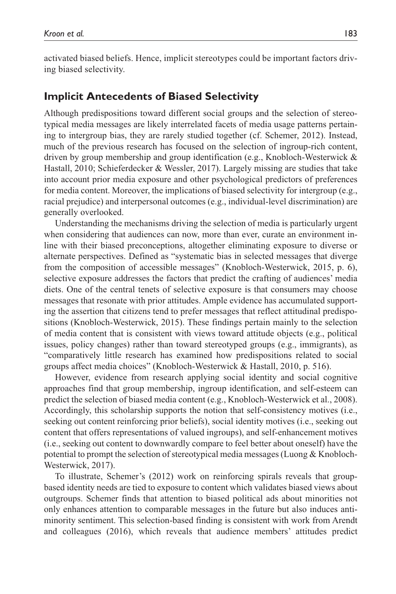activated biased beliefs. Hence, implicit stereotypes could be important factors driving biased selectivity.

## **Implicit Antecedents of Biased Selectivity**

Although predispositions toward different social groups and the selection of stereotypical media messages are likely interrelated facets of media usage patterns pertaining to intergroup bias, they are rarely studied together (cf. Schemer, 2012). Instead, much of the previous research has focused on the selection of ingroup-rich content, driven by group membership and group identification (e.g., Knobloch-Westerwick & Hastall, 2010; Schieferdecker & Wessler, 2017). Largely missing are studies that take into account prior media exposure and other psychological predictors of preferences for media content. Moreover, the implications of biased selectivity for intergroup (e.g., racial prejudice) and interpersonal outcomes (e.g., individual-level discrimination) are generally overlooked.

Understanding the mechanisms driving the selection of media is particularly urgent when considering that audiences can now, more than ever, curate an environment inline with their biased preconceptions, altogether eliminating exposure to diverse or alternate perspectives. Defined as "systematic bias in selected messages that diverge from the composition of accessible messages" (Knobloch-Westerwick, 2015, p. 6), selective exposure addresses the factors that predict the crafting of audiences' media diets. One of the central tenets of selective exposure is that consumers may choose messages that resonate with prior attitudes. Ample evidence has accumulated supporting the assertion that citizens tend to prefer messages that reflect attitudinal predispositions (Knobloch-Westerwick, 2015). These findings pertain mainly to the selection of media content that is consistent with views toward attitude objects (e.g., political issues, policy changes) rather than toward stereotyped groups (e.g., immigrants), as "comparatively little research has examined how predispositions related to social groups affect media choices" (Knobloch-Westerwick & Hastall, 2010, p. 516).

However, evidence from research applying social identity and social cognitive approaches find that group membership, ingroup identification, and self-esteem can predict the selection of biased media content (e.g., Knobloch-Westerwick et al., 2008). Accordingly, this scholarship supports the notion that self-consistency motives (i.e., seeking out content reinforcing prior beliefs), social identity motives (i.e., seeking out content that offers representations of valued ingroups), and self-enhancement motives (i.e., seeking out content to downwardly compare to feel better about oneself) have the potential to prompt the selection of stereotypical media messages (Luong & Knobloch-Westerwick, 2017).

To illustrate, Schemer's (2012) work on reinforcing spirals reveals that groupbased identity needs are tied to exposure to content which validates biased views about outgroups. Schemer finds that attention to biased political ads about minorities not only enhances attention to comparable messages in the future but also induces antiminority sentiment. This selection-based finding is consistent with work from Arendt and colleagues (2016), which reveals that audience members' attitudes predict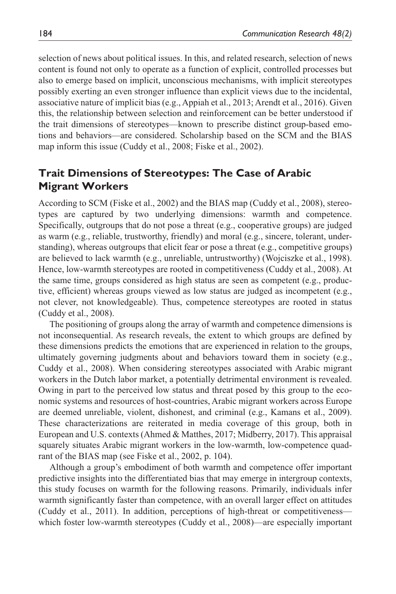selection of news about political issues. In this, and related research, selection of news content is found not only to operate as a function of explicit, controlled processes but also to emerge based on implicit, unconscious mechanisms, with implicit stereotypes possibly exerting an even stronger influence than explicit views due to the incidental, associative nature of implicit bias (e.g., Appiah et al., 2013; Arendt et al., 2016). Given this, the relationship between selection and reinforcement can be better understood if the trait dimensions of stereotypes—known to prescribe distinct group-based emotions and behaviors—are considered. Scholarship based on the SCM and the BIAS map inform this issue (Cuddy et al., 2008; Fiske et al., 2002).

## **Trait Dimensions of Stereotypes: The Case of Arabic Migrant Workers**

According to SCM (Fiske et al., 2002) and the BIAS map (Cuddy et al., 2008), stereotypes are captured by two underlying dimensions: warmth and competence. Specifically, outgroups that do not pose a threat (e.g., cooperative groups) are judged as warm (e.g., reliable, trustworthy, friendly) and moral (e.g., sincere, tolerant, understanding), whereas outgroups that elicit fear or pose a threat (e.g., competitive groups) are believed to lack warmth (e.g., unreliable, untrustworthy) (Wojciszke et al., 1998). Hence, low-warmth stereotypes are rooted in competitiveness (Cuddy et al., 2008). At the same time, groups considered as high status are seen as competent (e.g., productive, efficient) whereas groups viewed as low status are judged as incompetent (e.g., not clever, not knowledgeable). Thus, competence stereotypes are rooted in status (Cuddy et al., 2008).

The positioning of groups along the array of warmth and competence dimensions is not inconsequential. As research reveals, the extent to which groups are defined by these dimensions predicts the emotions that are experienced in relation to the groups, ultimately governing judgments about and behaviors toward them in society (e.g., Cuddy et al., 2008). When considering stereotypes associated with Arabic migrant workers in the Dutch labor market, a potentially detrimental environment is revealed. Owing in part to the perceived low status and threat posed by this group to the economic systems and resources of host-countries, Arabic migrant workers across Europe are deemed unreliable, violent, dishonest, and criminal (e.g., Kamans et al., 2009). These characterizations are reiterated in media coverage of this group, both in European and U.S. contexts (Ahmed & Matthes, 2017; Midberry, 2017). This appraisal squarely situates Arabic migrant workers in the low-warmth, low-competence quadrant of the BIAS map (see Fiske et al., 2002, p. 104).

Although a group's embodiment of both warmth and competence offer important predictive insights into the differentiated bias that may emerge in intergroup contexts, this study focuses on warmth for the following reasons. Primarily, individuals infer warmth significantly faster than competence, with an overall larger effect on attitudes (Cuddy et al., 2011). In addition, perceptions of high-threat or competitiveness which foster low-warmth stereotypes (Cuddy et al., 2008)—are especially important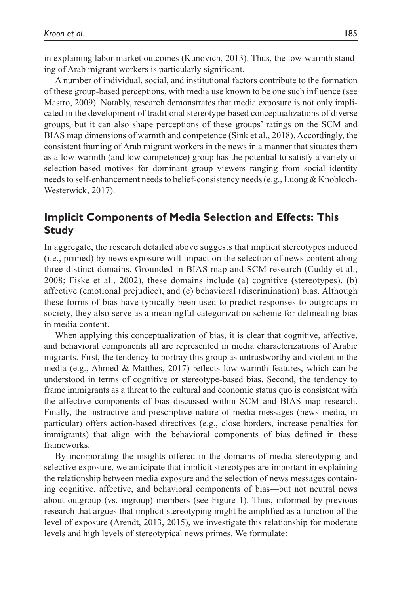in explaining labor market outcomes (Kunovich, 2013). Thus, the low-warmth standing of Arab migrant workers is particularly significant.

A number of individual, social, and institutional factors contribute to the formation of these group-based perceptions, with media use known to be one such influence (see Mastro, 2009). Notably, research demonstrates that media exposure is not only implicated in the development of traditional stereotype-based conceptualizations of diverse groups, but it can also shape perceptions of these groups' ratings on the SCM and BIAS map dimensions of warmth and competence (Sink et al., 2018). Accordingly, the consistent framing of Arab migrant workers in the news in a manner that situates them as a low-warmth (and low competence) group has the potential to satisfy a variety of selection-based motives for dominant group viewers ranging from social identity needs to self-enhancement needs to belief-consistency needs (e.g., Luong & Knobloch-Westerwick, 2017).

## **Implicit Components of Media Selection and Effects: This Study**

In aggregate, the research detailed above suggests that implicit stereotypes induced (i.e., primed) by news exposure will impact on the selection of news content along three distinct domains. Grounded in BIAS map and SCM research (Cuddy et al., 2008; Fiske et al., 2002), these domains include (a) cognitive (stereotypes), (b) affective (emotional prejudice), and (c) behavioral (discrimination) bias. Although these forms of bias have typically been used to predict responses to outgroups in society, they also serve as a meaningful categorization scheme for delineating bias in media content.

When applying this conceptualization of bias, it is clear that cognitive, affective, and behavioral components all are represented in media characterizations of Arabic migrants. First, the tendency to portray this group as untrustworthy and violent in the media (e.g., Ahmed & Matthes, 2017) reflects low-warmth features, which can be understood in terms of cognitive or stereotype-based bias. Second, the tendency to frame immigrants as a threat to the cultural and economic status quo is consistent with the affective components of bias discussed within SCM and BIAS map research. Finally, the instructive and prescriptive nature of media messages (news media, in particular) offers action-based directives (e.g., close borders, increase penalties for immigrants) that align with the behavioral components of bias defined in these frameworks.

By incorporating the insights offered in the domains of media stereotyping and selective exposure, we anticipate that implicit stereotypes are important in explaining the relationship between media exposure and the selection of news messages containing cognitive, affective, and behavioral components of bias—but not neutral news about outgroup (vs. ingroup) members (see Figure 1). Thus, informed by previous research that argues that implicit stereotyping might be amplified as a function of the level of exposure (Arendt, 2013, 2015), we investigate this relationship for moderate levels and high levels of stereotypical news primes. We formulate: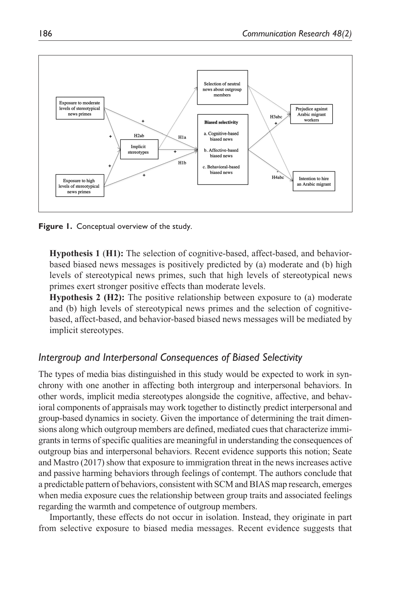

**Figure 1.** Conceptual overview of the study.

**Hypothesis 1** (**H1):** The selection of cognitive-based, affect-based, and behaviorbased biased news messages is positively predicted by (a) moderate and (b) high levels of stereotypical news primes, such that high levels of stereotypical news primes exert stronger positive effects than moderate levels.

**Hypothesis 2 (H2):** The positive relationship between exposure to (a) moderate and (b) high levels of stereotypical news primes and the selection of cognitivebased, affect-based, and behavior-based biased news messages will be mediated by implicit stereotypes.

#### *Intergroup and Interpersonal Consequences of Biased Selectivity*

The types of media bias distinguished in this study would be expected to work in synchrony with one another in affecting both intergroup and interpersonal behaviors. In other words, implicit media stereotypes alongside the cognitive, affective, and behavioral components of appraisals may work together to distinctly predict interpersonal and group-based dynamics in society. Given the importance of determining the trait dimensions along which outgroup members are defined, mediated cues that characterize immigrants in terms of specific qualities are meaningful in understanding the consequences of outgroup bias and interpersonal behaviors. Recent evidence supports this notion; Seate and Mastro (2017) show that exposure to immigration threat in the news increases active and passive harming behaviors through feelings of contempt. The authors conclude that a predictable pattern of behaviors, consistent with SCM and BIAS map research, emerges when media exposure cues the relationship between group traits and associated feelings regarding the warmth and competence of outgroup members.

Importantly, these effects do not occur in isolation. Instead, they originate in part from selective exposure to biased media messages. Recent evidence suggests that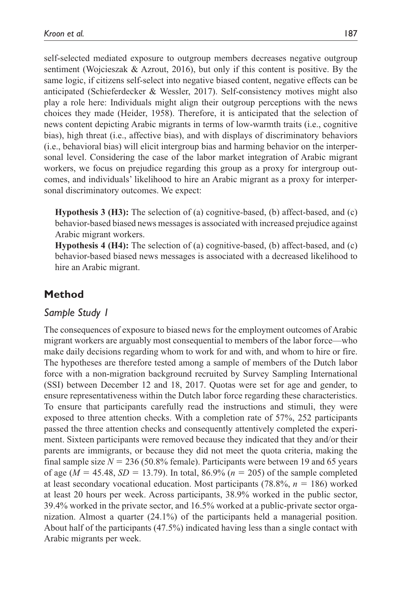self-selected mediated exposure to outgroup members decreases negative outgroup sentiment (Wojcieszak & Azrout, 2016), but only if this content is positive. By the same logic, if citizens self-select into negative biased content, negative effects can be anticipated (Schieferdecker & Wessler, 2017). Self-consistency motives might also play a role here: Individuals might align their outgroup perceptions with the news choices they made (Heider, 1958). Therefore, it is anticipated that the selection of news content depicting Arabic migrants in terms of low-warmth traits (i.e., cognitive bias), high threat (i.e., affective bias), and with displays of discriminatory behaviors (i.e., behavioral bias) will elicit intergroup bias and harming behavior on the interpersonal level. Considering the case of the labor market integration of Arabic migrant workers, we focus on prejudice regarding this group as a proxy for intergroup outcomes, and individuals' likelihood to hire an Arabic migrant as a proxy for interpersonal discriminatory outcomes. We expect:

**Hypothesis 3 (H3):** The selection of (a) cognitive-based, (b) affect-based, and (c) behavior-based biased news messages is associated with increased prejudice against Arabic migrant workers.

**Hypothesis 4 (H4):** The selection of (a) cognitive-based, (b) affect-based, and (c) behavior-based biased news messages is associated with a decreased likelihood to hire an Arabic migrant.

## **Method**

### *Sample Study 1*

The consequences of exposure to biased news for the employment outcomes of Arabic migrant workers are arguably most consequential to members of the labor force—who make daily decisions regarding whom to work for and with, and whom to hire or fire. The hypotheses are therefore tested among a sample of members of the Dutch labor force with a non-migration background recruited by Survey Sampling International (SSI) between December 12 and 18, 2017. Quotas were set for age and gender, to ensure representativeness within the Dutch labor force regarding these characteristics. To ensure that participants carefully read the instructions and stimuli, they were exposed to three attention checks. With a completion rate of 57%, 252 participants passed the three attention checks and consequently attentively completed the experiment. Sixteen participants were removed because they indicated that they and/or their parents are immigrants, or because they did not meet the quota criteria, making the final sample size  $N = 236$  (50.8% female). Participants were between 19 and 65 years of age ( $M = 45.48$ ,  $SD = 13.79$ ). In total, 86.9% ( $n = 205$ ) of the sample completed at least secondary vocational education. Most participants (78.8%, *n* = 186) worked at least 20 hours per week. Across participants, 38.9% worked in the public sector, 39.4% worked in the private sector, and 16.5% worked at a public-private sector organization. Almost a quarter (24.1%) of the participants held a managerial position. About half of the participants (47.5%) indicated having less than a single contact with Arabic migrants per week.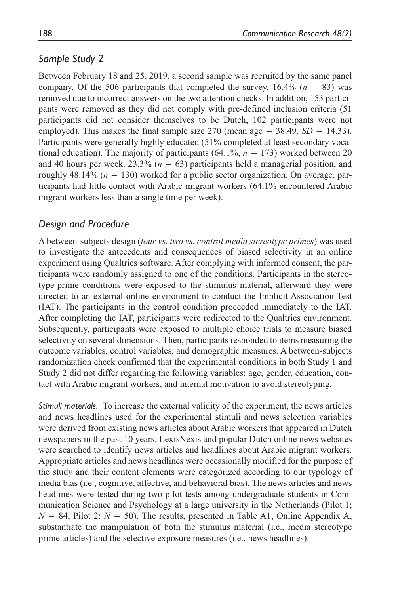#### *Sample Study 2*

Between February 18 and 25, 2019, a second sample was recruited by the same panel company. Of the 506 participants that completed the survey,  $16.4\%$  ( $n = 83$ ) was removed due to incorrect answers on the two attention checks. In addition, 153 participants were removed as they did not comply with pre-defined inclusion criteria (51 participants did not consider themselves to be Dutch, 102 participants were not employed). This makes the final sample size 270 (mean age  $=$  38.49, *SD*  $=$  14.33). Participants were generally highly educated (51% completed at least secondary vocational education). The majority of participants (64.1%, *n* = 173) worked between 20 and 40 hours per week.  $23.3\%$  ( $n = 63$ ) participants held a managerial position, and roughly 48.14% ( $n = 130$ ) worked for a public sector organization. On average, participants had little contact with Arabic migrant workers (64.1% encountered Arabic migrant workers less than a single time per week).

#### *Design and Procedure*

A between-subjects design (*four vs. two vs. control media stereotype primes*) was used to investigate the antecedents and consequences of biased selectivity in an online experiment using Qualtrics software. After complying with informed consent, the participants were randomly assigned to one of the conditions. Participants in the stereotype-prime conditions were exposed to the stimulus material, afterward they were directed to an external online environment to conduct the Implicit Association Test (IAT). The participants in the control condition proceeded immediately to the IAT. After completing the IAT, participants were redirected to the Qualtrics environment. Subsequently, participants were exposed to multiple choice trials to measure biased selectivity on several dimensions. Then, participants responded to items measuring the outcome variables, control variables, and demographic measures. A between-subjects randomization check confirmed that the experimental conditions in both Study 1 and Study 2 did not differ regarding the following variables: age, gender, education, contact with Arabic migrant workers, and internal motivation to avoid stereotyping.

*Stimuli materials.* To increase the external validity of the experiment, the news articles and news headlines used for the experimental stimuli and news selection variables were derived from existing news articles about Arabic workers that appeared in Dutch newspapers in the past 10 years. LexisNexis and popular Dutch online news websites were searched to identify news articles and headlines about Arabic migrant workers. Appropriate articles and news headlines were occasionally modified for the purpose of the study and their content elements were categorized according to our typology of media bias (i.e., cognitive, affective, and behavioral bias). The news articles and news headlines were tested during two pilot tests among undergraduate students in Communication Science and Psychology at a large university in the Netherlands (Pilot 1;  $N = 84$ , Pilot 2:  $N = 50$ ). The results, presented in Table A1, Online Appendix A, substantiate the manipulation of both the stimulus material (i.e., media stereotype prime articles) and the selective exposure measures (i.e., news headlines).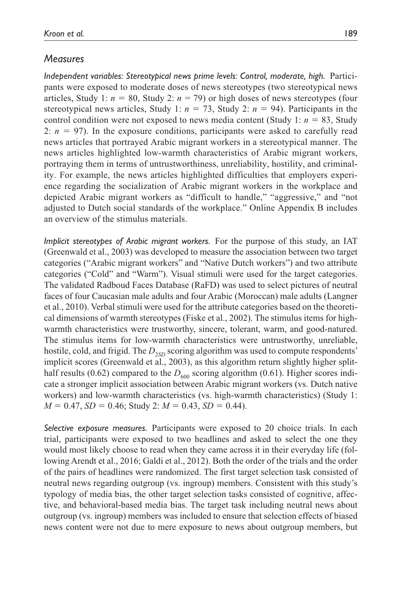#### *Measures*

*Independent variables: Stereotypical news prime levels: Control, moderate, high.* Participants were exposed to moderate doses of news stereotypes (two stereotypical news articles, Study 1:  $n = 80$ , Study 2:  $n = 79$ ) or high doses of news stereotypes (four stereotypical news articles, Study 1:  $n = 73$ , Study 2:  $n = 94$ ). Participants in the control condition were not exposed to news media content (Study 1:  $n = 83$ , Study 2:  $n = 97$ ). In the exposure conditions, participants were asked to carefully read news articles that portrayed Arabic migrant workers in a stereotypical manner. The news articles highlighted low-warmth characteristics of Arabic migrant workers, portraying them in terms of untrustworthiness, unreliability, hostility, and criminality. For example, the news articles highlighted difficulties that employers experience regarding the socialization of Arabic migrant workers in the workplace and depicted Arabic migrant workers as "difficult to handle," "aggressive," and "not adjusted to Dutch social standards of the workplace." Online Appendix B includes an overview of the stimulus materials.

*Implicit stereotypes of Arabic migrant workers.* For the purpose of this study, an IAT (Greenwald et al., 2003) was developed to measure the association between two target categories ("Arabic migrant workers" and "Native Dutch workers") and two attribute categories ("Cold" and "Warm"). Visual stimuli were used for the target categories. The validated Radboud Faces Database (RaFD) was used to select pictures of neutral faces of four Caucasian male adults and four Arabic (Moroccan) male adults (Langner et al., 2010). Verbal stimuli were used for the attribute categories based on the theoretical dimensions of warmth stereotypes (Fiske et al., 2002). The stimulus items for highwarmth characteristics were trustworthy, sincere, tolerant, warm, and good-natured. The stimulus items for low-warmth characteristics were untrustworthy, unreliable, hostile, cold, and frigid. The  $D_{25D}$  scoring algorithm was used to compute respondents' implicit scores (Greenwald et al., 2003), as this algorithm return slightly higher splithalf results (0.62) compared to the  $D_{600}$  scoring algorithm (0.61). Higher scores indicate a stronger implicit association between Arabic migrant workers (vs. Dutch native workers) and low-warmth characteristics (vs. high-warmth characteristics) (Study 1:  $M = 0.47$ ,  $SD = 0.46$ ; Study 2:  $M = 0.43$ ,  $SD = 0.44$ ).

*Selective exposure measures.* Participants were exposed to 20 choice trials. In each trial, participants were exposed to two headlines and asked to select the one they would most likely choose to read when they came across it in their everyday life (following Arendt et al., 2016; Galdi et al., 2012). Both the order of the trials and the order of the pairs of headlines were randomized. The first target selection task consisted of neutral news regarding outgroup (vs. ingroup) members. Consistent with this study's typology of media bias, the other target selection tasks consisted of cognitive, affective, and behavioral-based media bias. The target task including neutral news about outgroup (vs. ingroup) members was included to ensure that selection effects of biased news content were not due to mere exposure to news about outgroup members, but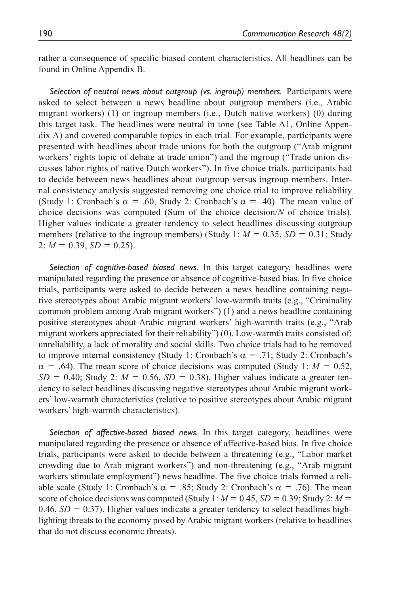rather a consequence of specific biased content characteristics. All headlines can be found in Online Appendix B.

*Selection of neutral news about outgroup (vs. ingroup) members.* Participants were asked to select between a news headline about outgroup members (i.e., Arabic migrant workers) (1) or ingroup members (i.e., Dutch native workers) (0) during this target task. The headlines were neutral in tone (see Table A1, Online Appendix A) and covered comparable topics in each trial. For example, participants were presented with headlines about trade unions for both the outgroup ("Arab migrant workers' rights topic of debate at trade union") and the ingroup ("Trade union discusses labor rights of native Dutch workers"). In five choice trials, participants had to decide between news headlines about outgroup versus ingroup members. Internal consistency analysis suggested removing one choice trial to improve reliability (Study 1: Cronbach's  $\alpha = .60$ , Study 2: Cronbach's  $\alpha = .40$ ). The mean value of choice decisions was computed (Sum of the choice decision/*N* of choice trials). Higher values indicate a greater tendency to select headlines discussing outgroup members (relative to the ingroup members) (Study 1:  $M = 0.35$ ,  $SD = 0.31$ ; Study 2:  $M = 0.39$ ,  $SD = 0.25$ ).

*Selection of cognitive-based biased news.* In this target category, headlines were manipulated regarding the presence or absence of cognitive-based bias. In five choice trials, participants were asked to decide between a news headline containing negative stereotypes about Arabic migrant workers' low-warmth traits (e.g., "Criminality common problem among Arab migrant workers") (1) and a news headline containing positive stereotypes about Arabic migrant workers' high-warmth traits (e.g., "Arab migrant workers appreciated for their reliability") (0). Low-warmth traits consisted of: unreliability, a lack of morality and social skills. Two choice trials had to be removed to improve internal consistency (Study 1: Cronbach's  $\alpha = .71$ ; Study 2: Cronbach's  $\alpha$  = .64). The mean score of choice decisions was computed (Study 1:  $M = 0.52$ ,  $SD = 0.40$ ; Study 2:  $M = 0.56$ ,  $SD = 0.38$ ). Higher values indicate a greater tendency to select headlines discussing negative stereotypes about Arabic migrant workers' low-warmth characteristics (relative to positive stereotypes about Arabic migrant workers' high-warmth characteristics).

*Selection of affective-based biased news.* In this target category, headlines were manipulated regarding the presence or absence of affective-based bias. In five choice trials, participants were asked to decide between a threatening (e.g., "Labor market crowding due to Arab migrant workers") and non-threatening (e.g., "Arab migrant workers stimulate employment") news headline. The five choice trials formed a reliable scale (Study 1: Cronbach's α = .85; Study 2: Cronbach's α = .76). The mean score of choice decisions was computed (Study 1:  $M = 0.45$ ,  $SD = 0.39$ ; Study 2:  $M =$  $0.46$ ,  $SD = 0.37$ ). Higher values indicate a greater tendency to select headlines highlighting threats to the economy posed by Arabic migrant workers (relative to headlines that do not discuss economic threats).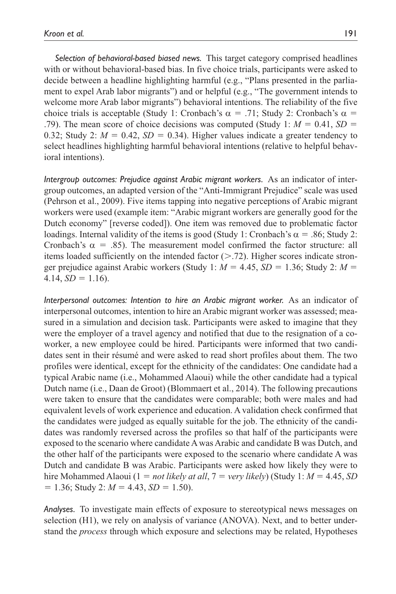*Selection of behavioral-based biased news.* This target category comprised headlines with or without behavioral-based bias. In five choice trials, participants were asked to decide between a headline highlighting harmful (e.g., "Plans presented in the parliament to expel Arab labor migrants") and or helpful (e.g., "The government intends to welcome more Arab labor migrants") behavioral intentions. The reliability of the five choice trials is acceptable (Study 1: Cronbach's  $\alpha = .71$ ; Study 2: Cronbach's  $\alpha =$ .79). The mean score of choice decisions was computed (Study 1:  $M = 0.41$ ,  $SD =$ 0.32; Study 2:  $M = 0.42$ ,  $SD = 0.34$ ). Higher values indicate a greater tendency to select headlines highlighting harmful behavioral intentions (relative to helpful behavioral intentions).

*Intergroup outcomes: Prejudice against Arabic migrant workers.* As an indicator of intergroup outcomes, an adapted version of the "Anti-Immigrant Prejudice" scale was used (Pehrson et al., 2009). Five items tapping into negative perceptions of Arabic migrant workers were used (example item: "Arabic migrant workers are generally good for the Dutch economy" [reverse coded]). One item was removed due to problematic factor loadings. Internal validity of the items is good (Study 1: Cronbach's  $\alpha$  = .86; Study 2: Cronbach's  $\alpha = .85$ ). The measurement model confirmed the factor structure: all items loaded sufficiently on the intended factor  $($ >.72). Higher scores indicate stronger prejudice against Arabic workers (Study 1:  $M = 4.45$ ,  $SD = 1.36$ ; Study 2:  $M =$  $4.14, SD = 1.16$ .

*Interpersonal outcomes: Intention to hire an Arabic migrant worker.* As an indicator of interpersonal outcomes, intention to hire an Arabic migrant worker was assessed; measured in a simulation and decision task. Participants were asked to imagine that they were the employer of a travel agency and notified that due to the resignation of a coworker, a new employee could be hired. Participants were informed that two candidates sent in their résumé and were asked to read short profiles about them. The two profiles were identical, except for the ethnicity of the candidates: One candidate had a typical Arabic name (i.e., Mohammed Alaoui) while the other candidate had a typical Dutch name (i.e., Daan de Groot) (Blommaert et al., 2014). The following precautions were taken to ensure that the candidates were comparable; both were males and had equivalent levels of work experience and education. A validation check confirmed that the candidates were judged as equally suitable for the job. The ethnicity of the candidates was randomly reversed across the profiles so that half of the participants were exposed to the scenario where candidate A was Arabic and candidate B was Dutch, and the other half of the participants were exposed to the scenario where candidate A was Dutch and candidate B was Arabic. Participants were asked how likely they were to hire Mohammed Alaoui (1 = *not likely at all*, 7 = *very likely*) (Study 1: *M* = 4.45, *SD*  $= 1.36$ ; Study 2:  $M = 4.43$ ,  $SD = 1.50$ ).

*Analyses.* To investigate main effects of exposure to stereotypical news messages on selection (H1), we rely on analysis of variance (ANOVA). Next, and to better understand the *process* through which exposure and selections may be related, Hypotheses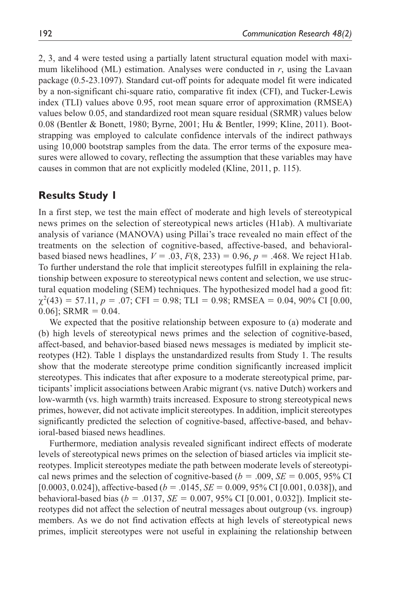2, 3, and 4 were tested using a partially latent structural equation model with maximum likelihood (ML) estimation. Analyses were conducted in *r*, using the Lavaan package (0.5-23.1097). Standard cut-off points for adequate model fit were indicated by a non-significant chi-square ratio, comparative fit index (CFI), and Tucker-Lewis index (TLI) values above 0.95, root mean square error of approximation (RMSEA) values below 0.05, and standardized root mean square residual (SRMR) values below 0.08 (Bentler & Bonett, 1980; Byrne, 2001; Hu & Bentler, 1999; Kline, 2011). Bootstrapping was employed to calculate confidence intervals of the indirect pathways using 10,000 bootstrap samples from the data. The error terms of the exposure measures were allowed to covary, reflecting the assumption that these variables may have causes in common that are not explicitly modeled (Kline, 2011, p. 115).

## **Results Study 1**

In a first step, we test the main effect of moderate and high levels of stereotypical news primes on the selection of stereotypical news articles (H1ab). A multivariate analysis of variance (MANOVA) using Pillai's trace revealed no main effect of the treatments on the selection of cognitive-based, affective-based, and behavioralbased biased news headlines,  $V = .03$ ,  $F(8, 233) = 0.96$ ,  $p = .468$ . We reject H1ab. To further understand the role that implicit stereotypes fulfill in explaining the relationship between exposure to stereotypical news content and selection, we use structural equation modeling (SEM) techniques. The hypothesized model had a good fit:  $\chi^2(43) = 57.11, p = .07$ ; CFI = 0.98; TLI = 0.98; RMSEA = 0.04, 90% CI [0.00,  $0.06$ ]; SRMR =  $0.04$ .

We expected that the positive relationship between exposure to (a) moderate and (b) high levels of stereotypical news primes and the selection of cognitive-based, affect-based, and behavior-based biased news messages is mediated by implicit stereotypes (H2). Table 1 displays the unstandardized results from Study 1. The results show that the moderate stereotype prime condition significantly increased implicit stereotypes. This indicates that after exposure to a moderate stereotypical prime, participants' implicit associations between Arabic migrant (vs. native Dutch) workers and low-warmth (vs. high warmth) traits increased. Exposure to strong stereotypical news primes, however, did not activate implicit stereotypes. In addition, implicit stereotypes significantly predicted the selection of cognitive-based, affective-based, and behavioral-based biased news headlines.

Furthermore, mediation analysis revealed significant indirect effects of moderate levels of stereotypical news primes on the selection of biased articles via implicit stereotypes. Implicit stereotypes mediate the path between moderate levels of stereotypical news primes and the selection of cognitive-based ( $b = .009$ ,  $SE = 0.005$ ,  $95\%$  CI [0.0003, 0.024]), affective-based (*b* = .0145, *SE* = 0.009, 95% CI [0.001, 0.038]), and behavioral-based bias (*b* = .0137, *SE* = 0.007, 95% CI [0.001, 0.032]). Implicit stereotypes did not affect the selection of neutral messages about outgroup (vs. ingroup) members. As we do not find activation effects at high levels of stereotypical news primes, implicit stereotypes were not useful in explaining the relationship between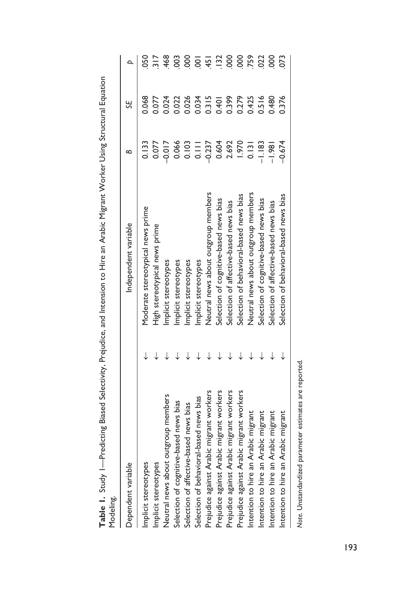| $\frac{1}{2}$                            |                                         |               |       |                 |
|------------------------------------------|-----------------------------------------|---------------|-------|-----------------|
| Dependent variable                       | Independent variable                    | ≏             | SF.   | $\Delta$        |
| Implicit stereotypes                     | Moderate stereotypical news prime       | 2.133         | 0.068 | 050             |
| Implicit stereotypes                     | High stereotypical news prime           | 0.077         | 0.077 |                 |
| Neutral news about outgroup members      | Implicit stereotypes                    | $-0.017$      | 0.024 | 468             |
| Selection of cognitive-based news bias   | Implicit stereotypes                    | 0.066         | 0.22  | $\overline{00}$ |
| Selection of affective-based news bias   | Implicit stereotypes                    | 0.103         | 0.026 | 000             |
| Selection of behavioral-based news bias  | Implicit stereotypes                    | $\frac{1}{2}$ | 0.034 | $\overline{5}$  |
| Prejudice against Arabic migrant workers | Neutral news about outgroup members     | $-0.237$      | 0.315 | $-45$           |
| Prejudice against Arabic migrant workers | Selection of cognitive-based news bias  | 0.604         | 10+0  |                 |
| Prejudice against Arabic migrant workers | Selection of affective-based news bias  | 2.692         | 0.399 | $-132$          |
| Prejudice against Arabic migrant workers | Selection of behavioral-based news bias | 1.970         | 0.279 | 000             |
| Intention to hire an Arabic migrant      | Neutral news about outgroup members     | 0.131         | 0.425 | .759            |
| Intention to hire an Arabic migrant      | Selection of cognitive-based news bias  | $-1.183$      | 0.516 | 022             |
| Intention to hire an Arabic migrant      | Selection of affective-based news bias  | $-1.981$      | 084.0 | 800             |
| Intention to hire an Arabic migrant      | Selection of behavioral-based news bias | $-0.674$      | 0.376 | 073             |
|                                          |                                         |               |       |                 |

**Table 1.** Study 1—Predicting Biased Selectivity, Prejudice, and Intension to Hire an Arabic Migrant Worker Using Structural Equation Table 1. Study I—Predicting Biased Selectivity, Prejudice, and Intension to Hire an Arabic Migrant Worker Using Structural Equation<br>Modeling.

Note. Unstandardized parameter estimates are reported. *Note.* Unstandardized parameter estimates are reported.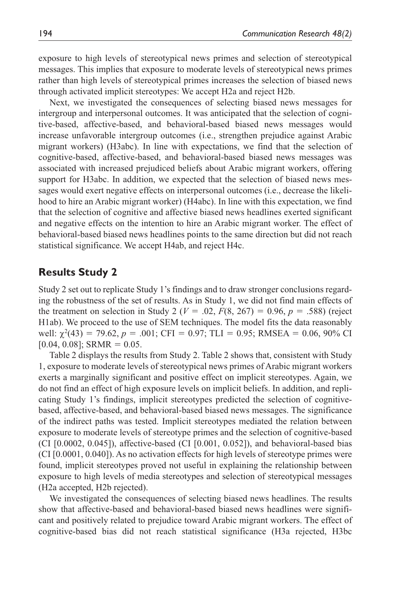exposure to high levels of stereotypical news primes and selection of stereotypical messages. This implies that exposure to moderate levels of stereotypical news primes rather than high levels of stereotypical primes increases the selection of biased news through activated implicit stereotypes: We accept H2a and reject H2b.

Next, we investigated the consequences of selecting biased news messages for intergroup and interpersonal outcomes. It was anticipated that the selection of cognitive-based, affective-based, and behavioral-based biased news messages would increase unfavorable intergroup outcomes (i.e., strengthen prejudice against Arabic migrant workers) (H3abc). In line with expectations, we find that the selection of cognitive-based, affective-based, and behavioral-based biased news messages was associated with increased prejudiced beliefs about Arabic migrant workers, offering support for H3abc. In addition, we expected that the selection of biased news messages would exert negative effects on interpersonal outcomes (i.e., decrease the likelihood to hire an Arabic migrant worker) (H4abc). In line with this expectation, we find that the selection of cognitive and affective biased news headlines exerted significant and negative effects on the intention to hire an Arabic migrant worker. The effect of behavioral-based biased news headlines points to the same direction but did not reach statistical significance. We accept H4ab, and reject H4c.

#### **Results Study 2**

Study 2 set out to replicate Study 1's findings and to draw stronger conclusions regarding the robustness of the set of results. As in Study 1, we did not find main effects of the treatment on selection in Study 2 ( $V = .02$ ,  $F(8, 267) = 0.96$ ,  $p = .588$ ) (reject H1ab). We proceed to the use of SEM techniques. The model fits the data reasonably well:  $\chi^2(43) = 79.62$ ,  $p = .001$ ; CFI = 0.97; TLI = 0.95; RMSEA = 0.06, 90% CI  $[0.04, 0.08]$ ; SRMR = 0.05.

Table 2 displays the results from Study 2. Table 2 shows that, consistent with Study 1, exposure to moderate levels of stereotypical news primes of Arabic migrant workers exerts a marginally significant and positive effect on implicit stereotypes. Again, we do not find an effect of high exposure levels on implicit beliefs. In addition, and replicating Study 1's findings, implicit stereotypes predicted the selection of cognitivebased, affective-based, and behavioral-based biased news messages. The significance of the indirect paths was tested. Implicit stereotypes mediated the relation between exposure to moderate levels of stereotype primes and the selection of cognitive-based  $(CI [0.0002, 0.045])$ , affective-based  $(CI [0.001, 0.052])$ , and behavioral-based bias (CI [0.0001, 0.040]). As no activation effects for high levels of stereotype primes were found, implicit stereotypes proved not useful in explaining the relationship between exposure to high levels of media stereotypes and selection of stereotypical messages (H2a accepted, H2b rejected).

We investigated the consequences of selecting biased news headlines. The results show that affective-based and behavioral-based biased news headlines were significant and positively related to prejudice toward Arabic migrant workers. The effect of cognitive-based bias did not reach statistical significance (H3a rejected, H3bc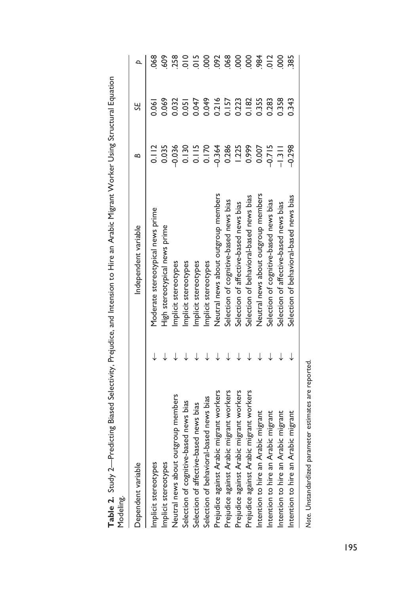| $\frac{1}{2}$                            |                                         |          |       |                |
|------------------------------------------|-----------------------------------------|----------|-------|----------------|
| Dependent variable                       | Independent variable                    | ≃        | SE    | $\overline{a}$ |
| Implicit stereotypes                     | Moderate stereotypical news prime       | 0.112    | 0.061 | 890            |
| Implicit stereotypes                     | High stereotypical news prime           | 0.035    | 0.069 | 609            |
| Neutral news about outgroup members      | Implicit stereotypes                    | 0.036    | 0.32  | 258            |
| Selection of cognitive-based news bias   | Implicit stereotypes                    | 0.130    | 0.051 | $\frac{1}{2}$  |
| Selection of affective-based news bias   | Implicit stereotypes                    | 0.115    | 0.047 | 015            |
| Selection of behavioral-based news bias  | Implicit stereotypes                    | 0.170    | 0.049 | 000            |
| Prejudice against Arabic migrant workers | Neutral news about outgroup members     | $-0.364$ | 0.216 | 092            |
| Prejudice against Arabic migrant workers | Selection of cognitive-based news bias  | 0.286    | 0.157 | 068            |
| Prejudice against Arabic migrant workers | Selection of affective-based news bias  | 1.225    | 0.223 | 800            |
| Prejudice against Arabic migrant workers | Selection of behavioral-based news bias | 0.999    | 0.182 | 800            |
| Intention to hire an Arabic migrant      | Neutral news about outgroup members     | 0.007    | 0.355 | 984            |
| Intention to hire an Arabic migrant      | Selection of cognitive-based news bias  | $-0.715$ | 0.283 | 012            |
| Intention to hire an Arabic migrant      | Selection of affective-based news bias  | $-1.311$ | 0.358 | 800            |
| Intention to hire an Arabic migrant      | Selection of behavioral-based news bias | $-0.298$ | 0.343 | 385            |
|                                          |                                         |          |       |                |

**Table 2.** Study 2—Predicting Biased Selectivity, Prejudice, and Intension to Hire an Arabic Migrant Worker Using Structural Equation Table 2. Study 2—Predicting Biased Selectivity, Prejudice, and Intension to Hire an Arabic Migrant Worker Using Structural Equation<br>Modeling.

Note. Unstandardized parameter estimates are reported. *Note.* Unstandardized parameter estimates are reported.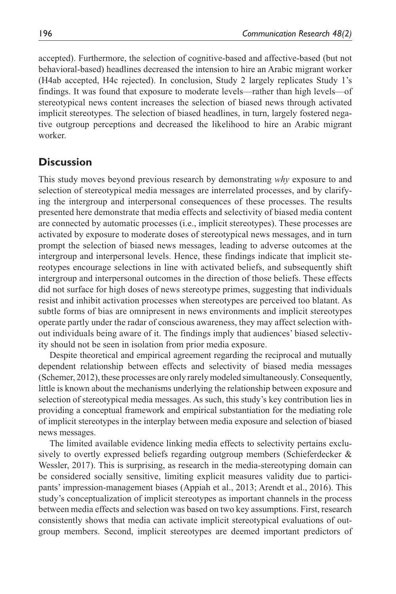accepted). Furthermore, the selection of cognitive-based and affective-based (but not behavioral-based) headlines decreased the intension to hire an Arabic migrant worker (H4ab accepted, H4c rejected). In conclusion, Study 2 largely replicates Study 1's findings. It was found that exposure to moderate levels—rather than high levels—of stereotypical news content increases the selection of biased news through activated implicit stereotypes. The selection of biased headlines, in turn, largely fostered negative outgroup perceptions and decreased the likelihood to hire an Arabic migrant worker.

## **Discussion**

This study moves beyond previous research by demonstrating *why* exposure to and selection of stereotypical media messages are interrelated processes, and by clarifying the intergroup and interpersonal consequences of these processes. The results presented here demonstrate that media effects and selectivity of biased media content are connected by automatic processes (i.e., implicit stereotypes). These processes are activated by exposure to moderate doses of stereotypical news messages, and in turn prompt the selection of biased news messages, leading to adverse outcomes at the intergroup and interpersonal levels. Hence, these findings indicate that implicit stereotypes encourage selections in line with activated beliefs, and subsequently shift intergroup and interpersonal outcomes in the direction of those beliefs. These effects did not surface for high doses of news stereotype primes, suggesting that individuals resist and inhibit activation processes when stereotypes are perceived too blatant. As subtle forms of bias are omnipresent in news environments and implicit stereotypes operate partly under the radar of conscious awareness, they may affect selection without individuals being aware of it. The findings imply that audiences' biased selectivity should not be seen in isolation from prior media exposure.

Despite theoretical and empirical agreement regarding the reciprocal and mutually dependent relationship between effects and selectivity of biased media messages (Schemer, 2012), these processes are only rarely modeled simultaneously. Consequently, little is known about the mechanisms underlying the relationship between exposure and selection of stereotypical media messages. As such, this study's key contribution lies in providing a conceptual framework and empirical substantiation for the mediating role of implicit stereotypes in the interplay between media exposure and selection of biased news messages.

The limited available evidence linking media effects to selectivity pertains exclusively to overtly expressed beliefs regarding outgroup members (Schieferdecker & Wessler, 2017). This is surprising, as research in the media-stereotyping domain can be considered socially sensitive, limiting explicit measures validity due to participants' impression-management biases (Appiah et al., 2013; Arendt et al., 2016). This study's conceptualization of implicit stereotypes as important channels in the process between media effects and selection was based on two key assumptions. First, research consistently shows that media can activate implicit stereotypical evaluations of outgroup members. Second, implicit stereotypes are deemed important predictors of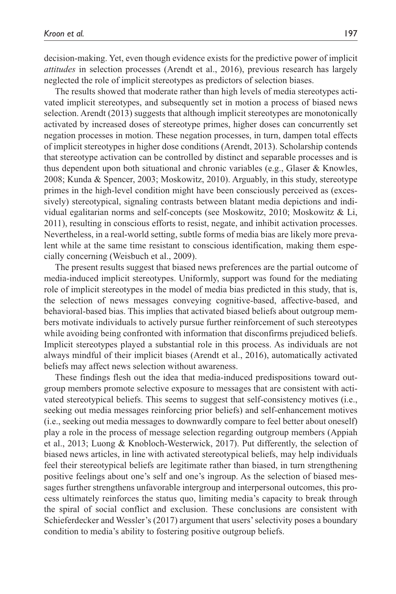decision-making. Yet, even though evidence exists for the predictive power of implicit *attitudes* in selection processes (Arendt et al., 2016), previous research has largely neglected the role of implicit stereotypes as predictors of selection biases.

The results showed that moderate rather than high levels of media stereotypes activated implicit stereotypes, and subsequently set in motion a process of biased news selection. Arendt (2013) suggests that although implicit stereotypes are monotonically activated by increased doses of stereotype primes, higher doses can concurrently set negation processes in motion. These negation processes, in turn, dampen total effects of implicit stereotypes in higher dose conditions (Arendt, 2013). Scholarship contends that stereotype activation can be controlled by distinct and separable processes and is thus dependent upon both situational and chronic variables (e.g., Glaser & Knowles, 2008; Kunda & Spencer, 2003; Moskowitz, 2010). Arguably, in this study, stereotype primes in the high-level condition might have been consciously perceived as (excessively) stereotypical, signaling contrasts between blatant media depictions and individual egalitarian norms and self-concepts (see Moskowitz, 2010; Moskowitz & Li, 2011), resulting in conscious efforts to resist, negate, and inhibit activation processes. Nevertheless, in a real-world setting, subtle forms of media bias are likely more prevalent while at the same time resistant to conscious identification, making them especially concerning (Weisbuch et al., 2009).

The present results suggest that biased news preferences are the partial outcome of media-induced implicit stereotypes. Uniformly, support was found for the mediating role of implicit stereotypes in the model of media bias predicted in this study, that is, the selection of news messages conveying cognitive-based, affective-based, and behavioral-based bias. This implies that activated biased beliefs about outgroup members motivate individuals to actively pursue further reinforcement of such stereotypes while avoiding being confronted with information that disconfirms prejudiced beliefs. Implicit stereotypes played a substantial role in this process. As individuals are not always mindful of their implicit biases (Arendt et al., 2016), automatically activated beliefs may affect news selection without awareness.

These findings flesh out the idea that media-induced predispositions toward outgroup members promote selective exposure to messages that are consistent with activated stereotypical beliefs. This seems to suggest that self-consistency motives (i.e., seeking out media messages reinforcing prior beliefs) and self-enhancement motives (i.e., seeking out media messages to downwardly compare to feel better about oneself) play a role in the process of message selection regarding outgroup members (Appiah et al., 2013; Luong & Knobloch-Westerwick, 2017). Put differently, the selection of biased news articles, in line with activated stereotypical beliefs, may help individuals feel their stereotypical beliefs are legitimate rather than biased, in turn strengthening positive feelings about one's self and one's ingroup. As the selection of biased messages further strengthens unfavorable intergroup and interpersonal outcomes, this process ultimately reinforces the status quo, limiting media's capacity to break through the spiral of social conflict and exclusion. These conclusions are consistent with Schieferdecker and Wessler's (2017) argument that users' selectivity poses a boundary condition to media's ability to fostering positive outgroup beliefs.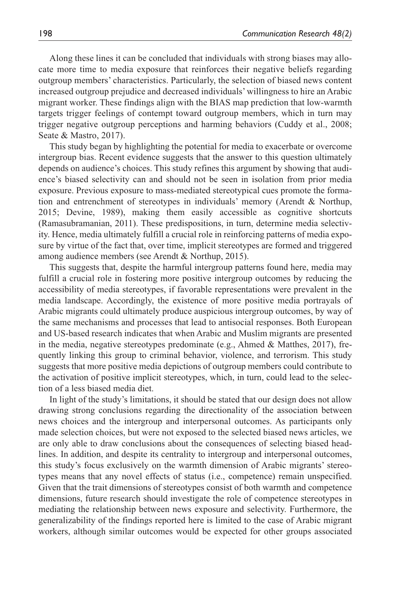Along these lines it can be concluded that individuals with strong biases may allocate more time to media exposure that reinforces their negative beliefs regarding outgroup members' characteristics. Particularly, the selection of biased news content increased outgroup prejudice and decreased individuals' willingness to hire an Arabic migrant worker. These findings align with the BIAS map prediction that low-warmth targets trigger feelings of contempt toward outgroup members, which in turn may trigger negative outgroup perceptions and harming behaviors (Cuddy et al., 2008; Seate & Mastro, 2017).

This study began by highlighting the potential for media to exacerbate or overcome intergroup bias. Recent evidence suggests that the answer to this question ultimately depends on audience's choices. This study refines this argument by showing that audience's biased selectivity can and should not be seen in isolation from prior media exposure. Previous exposure to mass-mediated stereotypical cues promote the formation and entrenchment of stereotypes in individuals' memory (Arendt & Northup, 2015; Devine, 1989), making them easily accessible as cognitive shortcuts (Ramasubramanian, 2011). These predispositions, in turn, determine media selectivity. Hence, media ultimately fulfill a crucial role in reinforcing patterns of media exposure by virtue of the fact that, over time, implicit stereotypes are formed and triggered among audience members (see Arendt & Northup, 2015).

This suggests that, despite the harmful intergroup patterns found here, media may fulfill a crucial role in fostering more positive intergroup outcomes by reducing the accessibility of media stereotypes, if favorable representations were prevalent in the media landscape. Accordingly, the existence of more positive media portrayals of Arabic migrants could ultimately produce auspicious intergroup outcomes, by way of the same mechanisms and processes that lead to antisocial responses. Both European and US-based research indicates that when Arabic and Muslim migrants are presented in the media, negative stereotypes predominate (e.g., Ahmed  $&$  Matthes, 2017), frequently linking this group to criminal behavior, violence, and terrorism. This study suggests that more positive media depictions of outgroup members could contribute to the activation of positive implicit stereotypes, which, in turn, could lead to the selection of a less biased media diet.

In light of the study's limitations, it should be stated that our design does not allow drawing strong conclusions regarding the directionality of the association between news choices and the intergroup and interpersonal outcomes. As participants only made selection choices, but were not exposed to the selected biased news articles, we are only able to draw conclusions about the consequences of selecting biased headlines. In addition, and despite its centrality to intergroup and interpersonal outcomes, this study's focus exclusively on the warmth dimension of Arabic migrants' stereotypes means that any novel effects of status (i.e., competence) remain unspecified. Given that the trait dimensions of stereotypes consist of both warmth and competence dimensions, future research should investigate the role of competence stereotypes in mediating the relationship between news exposure and selectivity. Furthermore, the generalizability of the findings reported here is limited to the case of Arabic migrant workers, although similar outcomes would be expected for other groups associated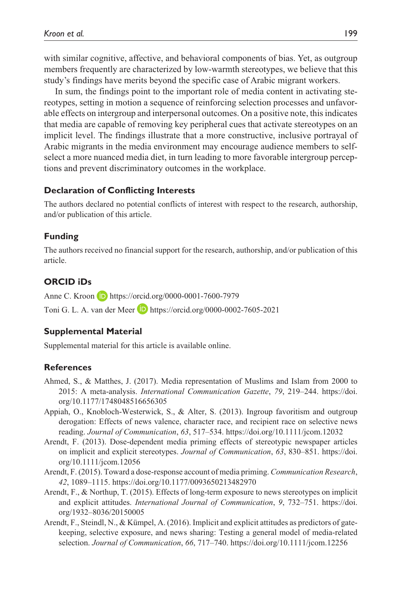with similar cognitive, affective, and behavioral components of bias. Yet, as outgroup members frequently are characterized by low-warmth stereotypes, we believe that this study's findings have merits beyond the specific case of Arabic migrant workers.

In sum, the findings point to the important role of media content in activating stereotypes, setting in motion a sequence of reinforcing selection processes and unfavorable effects on intergroup and interpersonal outcomes. On a positive note, this indicates that media are capable of removing key peripheral cues that activate stereotypes on an implicit level. The findings illustrate that a more constructive, inclusive portrayal of Arabic migrants in the media environment may encourage audience members to selfselect a more nuanced media diet, in turn leading to more favorable intergroup perceptions and prevent discriminatory outcomes in the workplace.

#### **Declaration of Conflicting Interests**

The authors declared no potential conflicts of interest with respect to the research, authorship, and/or publication of this article.

#### **Funding**

The authors received no financial support for the research, authorship, and/or publication of this article.

#### **ORCID iDs**

Anne C. Kroon **D** <https://orcid.org/0000-0001-7600-7979>

Toni G. L. A. van der Meer **D** <https://orcid.org/0000-0002-7605-2021>

#### **Supplemental Material**

Supplemental material for this article is available online.

#### **References**

- Ahmed, S., & Matthes, J. (2017). Media representation of Muslims and Islam from 2000 to 2015: A meta-analysis. *International Communication Gazette*, *79*, 219–244. [https://doi.](https://doi.org/10.1177/1748048516656305) [org/10.1177/1748048516656305](https://doi.org/10.1177/1748048516656305)
- Appiah, O., Knobloch-Westerwick, S., & Alter, S. (2013). Ingroup favoritism and outgroup derogation: Effects of news valence, character race, and recipient race on selective news reading. *Journal of Communication*, *63*, 517–534.<https://doi.org/10.1111/jcom.12032>
- Arendt, F. (2013). Dose-dependent media priming effects of stereotypic newspaper articles on implicit and explicit stereotypes. *Journal of Communication*, *63*, 830–851. [https://doi.](https://doi.org/10.1111/jcom.12056) [org/10.1111/jcom.12056](https://doi.org/10.1111/jcom.12056)
- Arendt, F. (2015). Toward a dose-response account of media priming. *Communication Research*, *42*, 1089–1115.<https://doi.org/10.1177/0093650213482970>
- Arendt, F., & Northup, T. (2015). Effects of long-term exposure to news stereotypes on implicit and explicit attitudes. *International Journal of Communication*, *9*, 732–751. [https://doi.](https://doi.org/1932�8036/20150005) [org/1932–8036/20150005](https://doi.org/1932�8036/20150005)
- Arendt, F., Steindl, N., & Kümpel, A. (2016). Implicit and explicit attitudes as predictors of gatekeeping, selective exposure, and news sharing: Testing a general model of media-related selection. *Journal of Communication*, *66*, 717–740.<https://doi.org/10.1111/jcom.12256>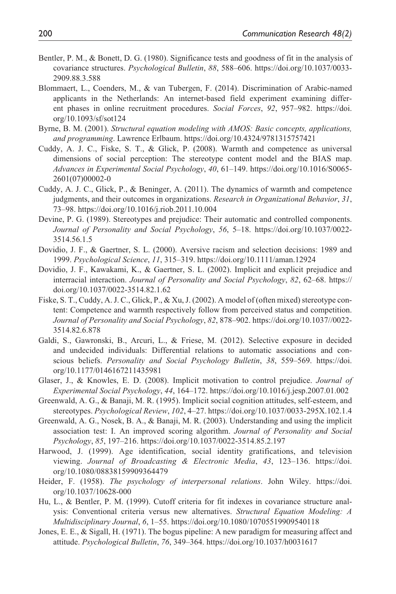- Bentler, P. M., & Bonett, D. G. (1980). Significance tests and goodness of fit in the analysis of covariance structures. *Psychological Bulletin*, *88*, 588–606. [https://doi.org/10.1037/0033-](https://doi.org/10.1037/0033-2909.88.3.588) [2909.88.3.588](https://doi.org/10.1037/0033-2909.88.3.588)
- Blommaert, L., Coenders, M., & van Tubergen, F. (2014). Discrimination of Arabic-named applicants in the Netherlands: An internet-based field experiment examining different phases in online recruitment procedures. *Social Forces*, *92*, 957–982. [https://doi.](https://doi.org/10.1093/sf/sot124) [org/10.1093/sf/sot124](https://doi.org/10.1093/sf/sot124)
- Byrne, B. M. (2001). *Structural equation modeling with AMOS: Basic concepts, applications, and programming*. Lawrence Erlbaum. <https://doi.org/10.4324/9781315757421>
- Cuddy, A. J. C., Fiske, S. T., & Glick, P. (2008). Warmth and competence as universal dimensions of social perception: The stereotype content model and the BIAS map. *Advances in Experimental Social Psychology*, *40*, 61–149. [https://doi.org/10.1016/S0065-](https://doi.org/10.1016/S0065-2601(07)00002-0) [2601\(07\)00002-0](https://doi.org/10.1016/S0065-2601(07)00002-0)
- Cuddy, A. J. C., Glick, P., & Beninger, A. (2011). The dynamics of warmth and competence judgments, and their outcomes in organizations. *Research in Organizational Behavior*, *31*, 73–98.<https://doi.org/10.1016/j.riob.2011.10.004>
- Devine, P. G. (1989). Stereotypes and prejudice: Their automatic and controlled components. *Journal of Personality and Social Psychology*, *56*, 5–18. [https://doi.org/10.1037/0022-](https://doi.org/10.1037/0022-3514.56.1.5) [3514.56.1.5](https://doi.org/10.1037/0022-3514.56.1.5)
- Dovidio, J. F., & Gaertner, S. L. (2000). Aversive racism and selection decisions: 1989 and 1999. *Psychological Science*, *11*, 315–319.<https://doi.org/10.1111/aman.12924>
- Dovidio, J. F., Kawakami, K., & Gaertner, S. L. (2002). Implicit and explicit prejudice and interracial interaction. *Journal of Personality and Social Psychology*, *82*, 62–68. [https://](https://doi.org/10.1037/0022-3514.82.1.62) [doi.org/10.1037/0022-3514.82.1.62](https://doi.org/10.1037/0022-3514.82.1.62)
- Fiske, S. T., Cuddy, A. J. C., Glick, P., & Xu, J. (2002). A model of (often mixed) stereotype content: Competence and warmth respectively follow from perceived status and competition. *Journal of Personality and Social Psychology*, *82*, 878–902. [https://doi.org/10.1037//0022-](https://doi.org/10.1037//0022-3514.82.6.878) [3514.82.6.878](https://doi.org/10.1037//0022-3514.82.6.878)
- Galdi, S., Gawronski, B., Arcuri, L., & Friese, M. (2012). Selective exposure in decided and undecided individuals: Differential relations to automatic associations and conscious beliefs. *Personality and Social Psychology Bulletin*, *38*, 559–569. [https://doi.](https://doi.org/10.1177/0146167211435981) [org/10.1177/0146167211435981](https://doi.org/10.1177/0146167211435981)
- Glaser, J., & Knowles, E. D. (2008). Implicit motivation to control prejudice. *Journal of Experimental Social Psychology*, *44*, 164–172. <https://doi.org/10.1016/j.jesp.2007.01.002>
- Greenwald, A. G., & Banaji, M. R. (1995). Implicit social cognition attitudes, self-esteem, and stereotypes. *Psychological Review*, *102*, 4–27.<https://doi.org/10.1037/0033-295X.102.1.4>
- Greenwald, A. G., Nosek, B. A., & Banaji, M. R. (2003). Understanding and using the implicit association test: I. An improved scoring algorithm. *Journal of Personality and Social Psychology*, *85*, 197–216.<https://doi.org/10.1037/0022-3514.85.2.197>
- Harwood, J. (1999). Age identification, social identity gratifications, and television viewing. *Journal of Broadcasting & Electronic Media*, *43*, 123–136. [https://doi.](https://doi.org/10.1080/08838159909364479) [org/10.1080/08838159909364479](https://doi.org/10.1080/08838159909364479)
- Heider, F. (1958). *The psychology of interpersonal relations*. John Wiley. [https://doi.](https://doi.org/10.1037/10628-000) [org/10.1037/10628-000](https://doi.org/10.1037/10628-000)
- Hu, L., & Bentler, P. M. (1999). Cutoff criteria for fit indexes in covariance structure analysis: Conventional criteria versus new alternatives. *Structural Equation Modeling: A Multidisciplinary Journal*, *6*, 1–55. <https://doi.org/10.1080/10705519909540118>
- Jones, E. E., & Sigall, H. (1971). The bogus pipeline: A new paradigm for measuring affect and attitude. *Psychological Bulletin*, *76*, 349–364.<https://doi.org/10.1037/h0031617>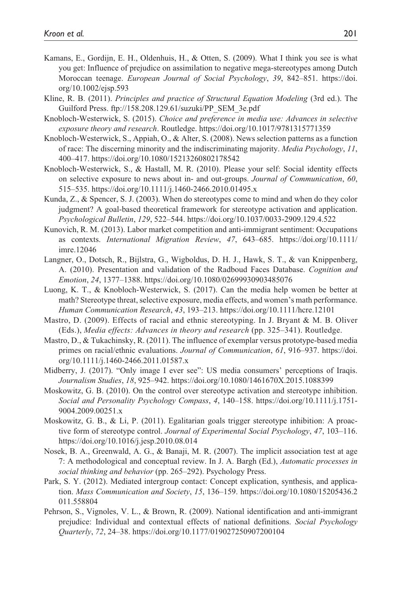- Kamans, E., Gordijn, E. H., Oldenhuis, H., & Otten, S. (2009). What I think you see is what you get: Influence of prejudice on assimilation to negative mega-stereotypes among Dutch Moroccan teenage. *European Journal of Social Psychology*, *39*, 842–851. [https://doi.](https://doi.org/10.1002/ejsp.593) [org/10.1002/ejsp.593](https://doi.org/10.1002/ejsp.593)
- Kline, R. B. (2011). *Principles and practice of Structural Equation Modeling* (3rd ed.). The Guilford Press. [ftp://158.208.129.61/suzuki/PP\\_SEM\\_3e.pdf](ftp://158.208.129.61/suzuki/PP_SEM_3e.pdf)
- Knobloch-Westerwick, S. (2015). *Choice and preference in media use: Advances in selective exposure theory and research*. Routledge.<https://doi.org/10.1017/9781315771359>
- Knobloch-Westerwick, S., Appiah, O., & Alter, S. (2008). News selection patterns as a function of race: The discerning minority and the indiscriminating majority. *Media Psychology*, *11*, 400–417.<https://doi.org/10.1080/15213260802178542>
- Knobloch-Westerwick, S., & Hastall, M. R. (2010). Please your self: Social identity effects on selective exposure to news about in- and out-groups. *Journal of Communication*, *60*, 515–535.<https://doi.org/10.1111/j.1460-2466.2010.01495.x>
- Kunda, Z., & Spencer, S. J. (2003). When do stereotypes come to mind and when do they color judgment? A goal-based theoretical framework for stereotype activation and application. *Psychological Bulletin*, *129*, 522–544.<https://doi.org/10.1037/0033-2909.129.4.522>
- Kunovich, R. M. (2013). Labor market competition and anti-immigrant sentiment: Occupations as contexts. *International Migration Review*, *47*, 643–685. [https://doi.org/10.1111/](https://doi.org/10.1111/imre.12046) [imre.12046](https://doi.org/10.1111/imre.12046)
- Langner, O., Dotsch, R., Bijlstra, G., Wigboldus, D. H. J., Hawk, S. T., & van Knippenberg, A. (2010). Presentation and validation of the Radboud Faces Database. *Cognition and Emotion*, *24*, 1377–1388. <https://doi.org/10.1080/02699930903485076>
- Luong, K. T., & Knobloch-Westerwick, S. (2017). Can the media help women be better at math? Stereotype threat, selective exposure, media effects, and women's math performance. *Human Communication Research*, *43*, 193–213. <https://doi.org/10.1111/hcre.12101>
- Mastro, D. (2009). Effects of racial and ethnic stereotyping. In J. Bryant & M. B. Oliver (Eds.), *Media effects: Advances in theory and research* (pp. 325–341). Routledge.
- Mastro, D., & Tukachinsky, R. (2011). The influence of exemplar versus prototype-based media primes on racial/ethnic evaluations. *Journal of Communication*, *61*, 916–937. [https://doi.](https://doi.org/10.1111/j.1460-2466.2011.01587.x) [org/10.1111/j.1460-2466.2011.01587.x](https://doi.org/10.1111/j.1460-2466.2011.01587.x)
- Midberry, J. (2017). "Only image I ever see": US media consumers' perceptions of Iraqis. *Journalism Studies*, *18*, 925–942. <https://doi.org/10.1080/1461670X.2015.1088399>
- Moskowitz, G. B. (2010). On the control over stereotype activation and stereotype inhibition. *Social and Personality Psychology Compass*, *4*, 140–158. [https://doi.org/10.1111/j.1751-](https://doi.org/10.1111/j.1751-9004.2009.00251.x) [9004.2009.00251.x](https://doi.org/10.1111/j.1751-9004.2009.00251.x)
- Moskowitz, G. B., & Li, P. (2011). Egalitarian goals trigger stereotype inhibition: A proactive form of stereotype control. *Journal of Experimental Social Psychology*, *47*, 103–116. <https://doi.org/10.1016/j.jesp.2010.08.014>
- Nosek, B. A., Greenwald, A. G., & Banaji, M. R. (2007). The implicit association test at age 7: A methodological and conceptual review. In J. A. Bargh (Ed.), *Automatic processes in social thinking and behavior* (pp. 265–292). Psychology Press.
- Park, S. Y. (2012). Mediated intergroup contact: Concept explication, synthesis, and application. *Mass Communication and Society*, *15*, 136–159. [https://doi.org/10.1080/15205436.2](https://doi.org/10.1080/15205436.2011.558804) [011.558804](https://doi.org/10.1080/15205436.2011.558804)
- Pehrson, S., Vignoles, V. L., & Brown, R. (2009). National identification and anti-immigrant prejudice: Individual and contextual effects of national definitions. *Social Psychology Quarterly*, *72*, 24–38.<https://doi.org/10.1177/019027250907200104>